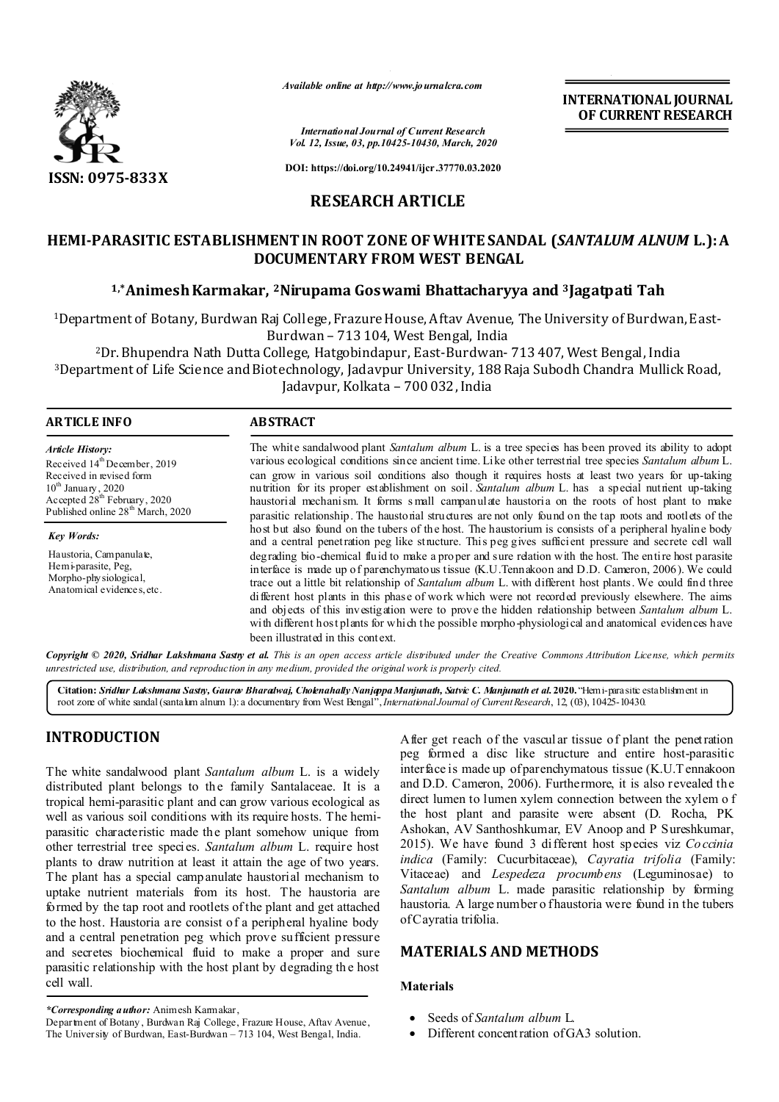

*Available online at http://www.journalcra.com*

**INTERNATIONAL JOURNAL OF CURRENT RESEARCH**

*International Journal of Current Research Vol. 12, Issue, 03, pp.10425-10430, March, 2020*

**DOI: https://doi.org/10.24941/ijcr.37770.03.2020**

# **RESEARCH ARTICLE**

# **HEMI-PARASITIC ESTABLISHMENT IN ROOT ZONE OF WHITE SANDAL (***SANTALUM ALNUM* **L.): A DOCUMENTARY FROM WEST BENGAL**

## **1,\*Animesh Karmakar, 2Nirupama Goswami Bhattacharyya and 3Jagatpati Tah**

1Department of Botany, Burdwan Raj College, Frazure House, Aftav Avenue, The University of Burdwan, East-Burdwan – 713 104, West Bengal, India

2Dr. Bhupendra Nath Dutta College, Hatgobindapur, East-Burdwan- 713 407, West Bengal, India 3Department of Life Science and Biotechnology, Jadavpur University, 188 Raja Subodh Chandra Mullick Road, Jadavpur, Kolkata – 700 032, India

### **ARTICLE INFO ABSTRACT**

*Article History:* Received  $14^{th}$ December, 2019 Received in revised form 10<sup>th</sup> January, 2020 Accepted 28<sup>th</sup> February, 2020 Published online 28<sup>th</sup> March, 2020

*Key Words:* Haustoria, Campanulate, Hemi-parasite, Peg, Morpho-physiological, Anatomical evidences, etc. The white sandalwood plant *Santalum album* L. is a tree species has been proved its ability to adopt various ecological conditions since ancient time. Like other terrestrial tree species *Santalum album* L. can grow in various soil conditions also though it requires hosts at least two years for up-taking nutrition for its proper establishment on soil. *Santalum album* L. has a special nutrient up-taking haustorial mechanism. It forms s mall campanulate haustoria on the roots of host plant to make parasitic relationship. The haustorial structures are not only found on the tap roots and rootlets of the host but also found on the tubers of the host. The haustorium is consists of a peripheral hyaline body and a central penetration peg like structure. This peg gives sufficient pressure and secrete cell wall degrading bio-chemical fluid to make a proper and sure relation with the host. The entire host parasite interface is made up of parenchymatous tissue (K.U.Tennakoon and D.D. Cameron, 2006). We could trace out a little bit relationship of *Santalum album* L. with different host plants. We could find three different host plants in this phase of work which were not recorded previously elsewhere. The aims and objects of this investigation were to prove the hidden relationship between *Santalum album* L. with different host plants for which the possible morpho-physiological and anatomical evidences have been illustrated in this context.

Copyright © 2020, Sridhar Lakshmana Sastry et al. This is an open access article distributed under the Creative Commons Attribution License, which permits *unrestricted use, distribution, and reproduction in any medium, provided the original work is properly cited.*

**Citation:** *Sridhar Lakshmana Sastry, Gaurav Bharadwaj, Cholenahally Nanjappa Manjunath, Satvic C. Manjunath et al.***2020.** "Hemi-parasitic establishment in root zone of white sandal (santalum alnum l.): a documentary from West Bengal", *International Journal of Current Research*, 12, (03), 10425-10430.

# **INTRODUCTION**

The white sandalwood plant *Santalum album* L. is a widely distributed plant belongs to the family Santalaceae. It is a tropical hemi-parasitic plant and can grow various ecological as well as various soil conditions with its require hosts. The hemiparasitic characteristic made the plant somehow unique from other terrestrial tree species. *Santalum album* L. require host plants to draw nutrition at least it attain the age of two years. The plant has a special campanulate haustorial mechanism to uptake nutrient materials from its host. The haustoria are formed by the tap root and rootlets of the plant and get attached to the host. Haustoria are consist of a peripheral hyaline body and a central penetration peg which prove sufficient pressure and secretes biochemical fluid to make a proper and sure parasitic relationship with the host plant by degrading th e host cell wall.

Department of Botany , Burdwan Raj College, Frazure House, Aftav Avenue, The University of Burdwan, East-Burdwan – 713 104, West Bengal, India.

After get reach of the vascular tissue of plant the penetration peg formed a disc like structure and entire host-parasitic interface is made up of parenchymatous tissue (K.U.T ennakoon and D.D. Cameron, 2006). Furthermore, it is also revealed the direct lumen to lumen xylem connection between the xylem o f the host plant and parasite were absent (D. Rocha, PK Ashokan, AV Santhoshkumar, EV Anoop and P Sureshkumar, 2015). We have found 3 different host species viz *Co ccinia indica* (Family: Cucurbitaceae), *Cayratia trifolia* (Family: Vitaceae) and *Lespedeza procumbens* (Leguminosae) to *Santalum album* L. made parasitic relationship by forming haustoria. A large number o fhaustoria were found in the tubers of Cayratia trifolia.

## **MATERIALS AND METHODS**

#### **Materials**

- Seeds of *Santalum album* L.
- Different concentration of GA3 solution.

*<sup>\*</sup>Corresponding author:* Animesh Karmakar,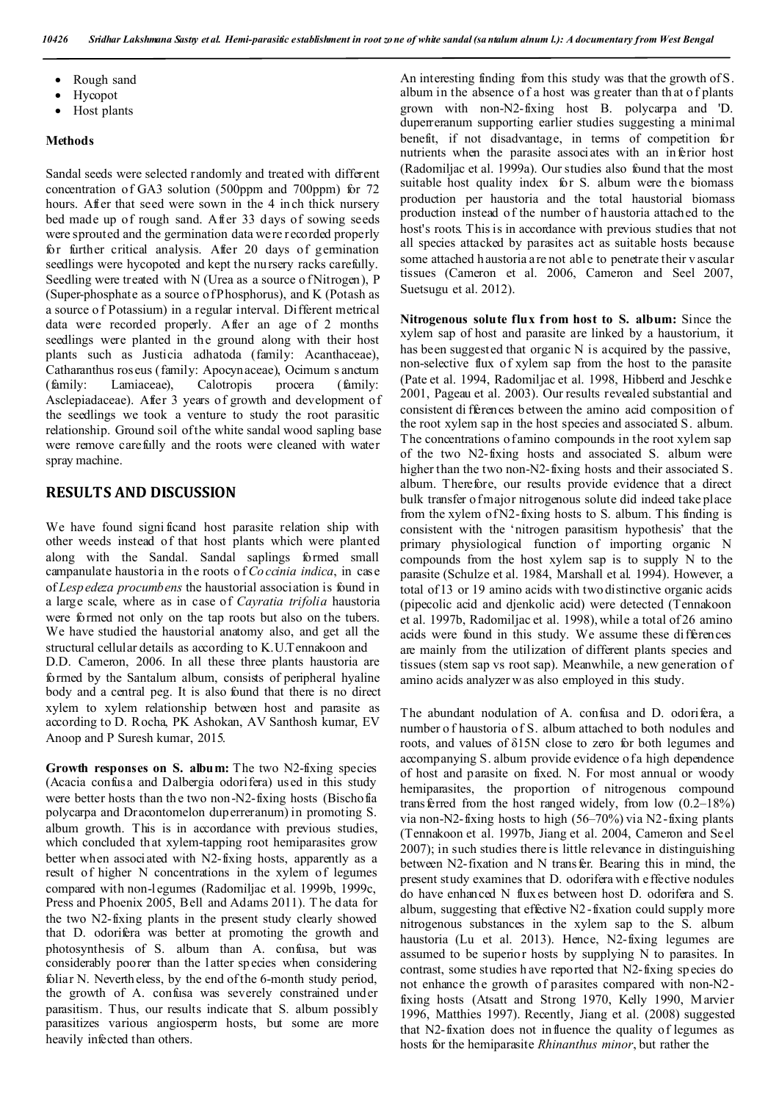- Rough sand
- Hycopot
- Host plants

#### **Methods**

Sandal seeds were selected randomly and treated with different concentration of GA3 solution (500ppm and 700ppm) for 72 hours. After that seed were sown in the 4 inch thick nursery bed made up of rough sand. After 33 days of sowing seeds were sprouted and the germination data were recorded properly for further critical analysis. After 20 days of germination seedlings were hycopoted and kept the nursery racks carefully. Seedling were treated with N (Urea as a source of Nitrogen), P (Super-phosphate as a source of Phosphorus), and K (Potash as a source o f Potassium) in a regular interval. Different metrical data were recorded properly. After an age of 2 months seedlings were planted in the ground along with their host plants such as Justicia adhatoda (family: Acanthaceae), Catharanthus roseus (family: Apocynaceae), Ocimum s anctum (family: Lamiaceae), Calotropis procera (family: Asclepiadaceae). After 3 years of growth and development of the seedlings we took a venture to study the root parasitic relationship. Ground soil of the white sandal wood sapling base were remove carefully and the roots were cleaned with water spray machine.

## **RESULTS AND DISCUSSION**

We have found signi ficand host parasite relation ship with other weeds instead of that host plants which were planted along with the Sandal. Sandal saplings formed small campanulate haustoria in the roots o f *Co ccinia indica*, in case of *Lespedeza procumbens* the haustorial association is found in a large scale, where as in case of *Cayratia trifolia* haustoria were formed not only on the tap roots but also on the tubers. We have studied the haustorial anatomy also, and get all the structural cellular details as according to K.U.Tennakoon and D.D. Cameron, 2006. In all these three plants haustoria are formed by the Santalum album, consists of peripheral hyaline body and a central peg. It is also found that there is no direct xylem to xylem relationship between host and parasite as according to D. Rocha, PK Ashokan, AV Santhosh kumar, EV Anoop and P Suresh kumar, 2015.

Growth responses on S. album: The two N2-fixing species (Acacia confusa and Dalbergia odorifera) used in this study were better hosts than the two non-N2-fixing hosts (Bischofia polycarpa and Dracontomelon duperreranum) in promoting S. album growth. This is in accordance with previous studies, which concluded that xylem-tapping root hemiparasites grow better when associated with N2-fixing hosts, apparently as a result of higher N concentrations in the xylem of legumes compared with non-legumes (Radomiljac et al. 1999b, 1999c, Press and Phoenix 2005, Bell and Adams 2011). T he data for the two N2-fixing plants in the present study clearly showed that D. odorifera was better at promoting the growth and photosynthesis of S. album than A. confusa, but was considerably poorer than the latter species when considering foliar N. Nevertheless, by the end of the 6-month study period, the growth of A. confusa was severely constrained under parasitism. Thus, our results indicate that S. album possibly parasitizes various angiosperm hosts, but some are more heavily infected than others.

An interesting finding from this study was that the growth of S. album in the absence of a host was greater than th at o f plants grown with non-N2-fixing host B. polycarpa and 'D. duperreranum supporting earlier studies suggesting a minimal benefit, if not disadvantage, in terms of competition for nutrients when the parasite associates with an inferior host (Radomiljac et al. 1999a). Our studies also found that the most suitable host quality index for S. album were the biomass production per haustoria and the total haustorial biomass production instead of the number of haustoria attached to the host's roots. This is in accordance with previous studies that not all species attacked by parasites act as suitable hosts because some attached haustoria are not abl e to penetrate their v ascular tissues (Cameron et al. 2006, Cameron and Seel 2007, Suetsugu et al. 2012).

**Nitrogenous solute flux from host to S. album:** Since the xylem sap of host and parasite are linked by a haustorium, it has been suggested that organic N is acquired by the passive, non-selective flux of xylem sap from the host to the parasite (Pate et al. 1994, Radomiljac et al. 1998, Hibberd and Jeschke 2001, Pageau et al. 2003). Our results revealed substantial and consistent di fferences between the amino acid composition of the root xylem sap in the host species and associated S. album. The concentrations of amino compounds in the root xylem sap of the two N2-fixing hosts and associated S. album were higher than the two non-N2-fixing hosts and their associated S. album. Therefore, our results provide evidence that a direct bulk transfer of major nitrogenous solute did indeed take place from the xylem of N2-fixing hosts to S. album. This finding is consistent with the 'nitrogen parasitism hypothesis' that the primary physiological function of importing organic N compounds from the host xylem sap is to supply N to the parasite (Schulze et al. 1984, Marshall et al. 1994). However, a total of 13 or 19 amino acids with two distinctive organic acids (pipecolic acid and djenkolic acid) were detected (Tennakoon et al. 1997b, Radomiljac et al. 1998), while a total of 26 amino acids were found in this study. We assume these differences are mainly from the utilization of different plants species and tissues (stem sap vs root sap). Meanwhile, a new generation of amino acids analyzer w as also employed in this study.

The abundant nodulation of A. confusa and D. odorifera, a number o f haustoria of S. album attached to both nodules and roots, and values of δ15N close to zero for both legumes and accompanying S. album provide evidence of a high dependence of host and parasite on fixed. N. For most annual or woody hemiparasites, the proportion of nitrogenous compound transferred from the host ranged widely, from low  $(0.2-18%)$ via non-N2-fixing hosts to high (56–70%) via N2-fixing plants (Tennakoon et al. 1997b, Jiang et al. 2004, Cameron and Seel 2007); in such studies there is little relevance in distinguishing between N2-fixation and N transfer. Bearing this in mind, the present study examines that D. odorifera with effective nodules do have enhanced N fluxes between host D. odorifera and S. album, suggesting that effective N2 -fixation could supply more nitrogenous substances in the xylem sap to the S. album haustoria (Lu et al. 2013). Hence, N2-fixing legumes are assumed to be superior hosts by supplying N to parasites. In contrast, some studies h ave reported that N2-fixing species do not enhance the growth of parasites compared with non-N2 fixing hosts (Atsatt and Strong 1970, Kelly 1990, Marvier 1996, Matthies 1997). Recently, Jiang et al. (2008) suggested that N2-fixation does not influence the quality of legumes as hosts for the hemiparasite *Rhinanthus minor*, but rather the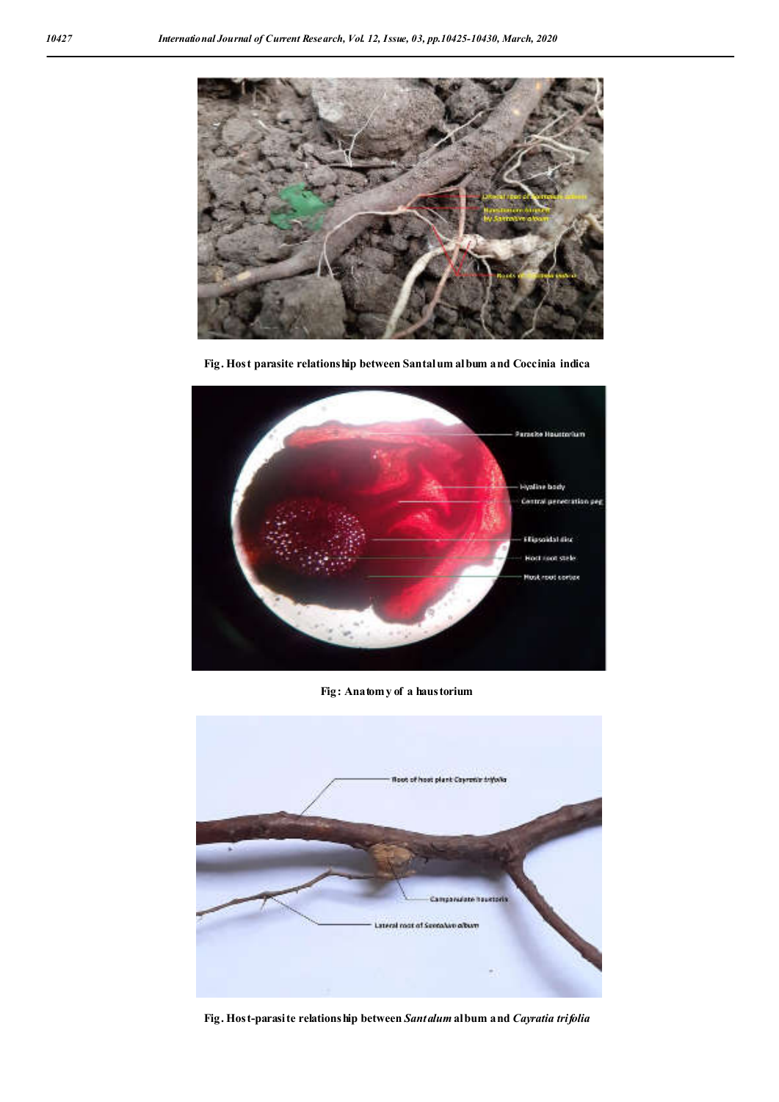

**Fig. Host parasite relationship between Santalum album and Coccinia indica**



**Fig: Anatomy of a haustorium**



**Fig. Host-parasite relationship between** *Santalum* **album and** *Cayratia trifolia*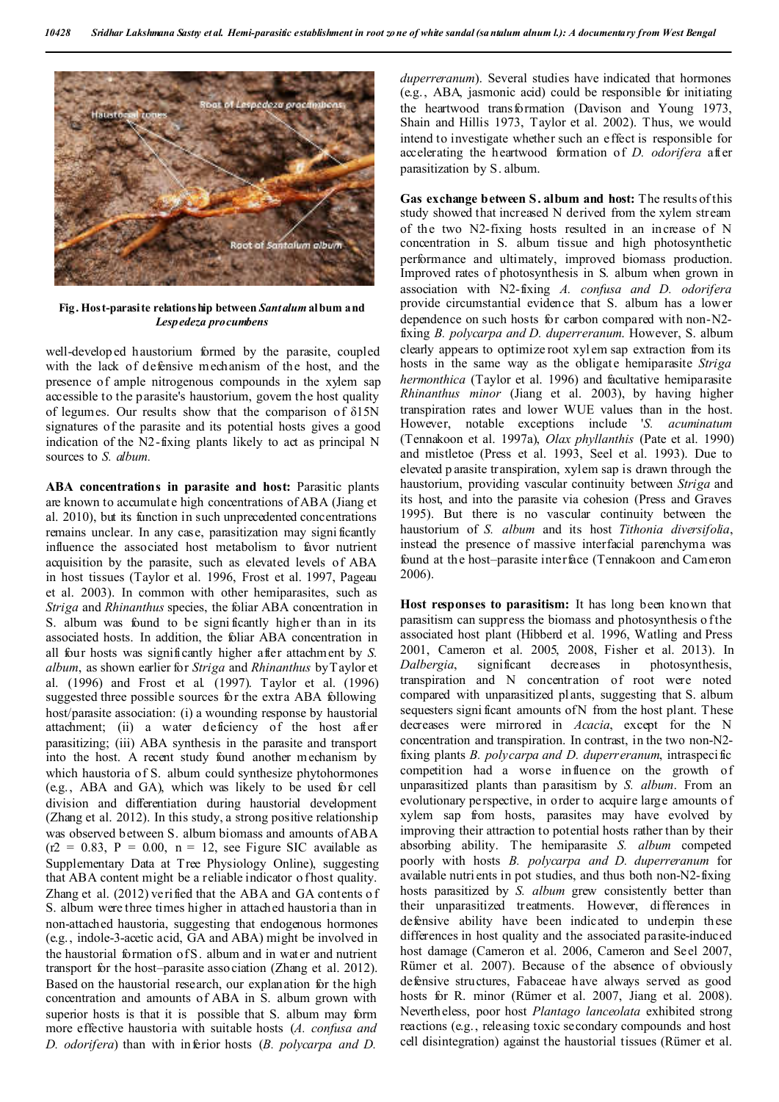

**Fig. Host-parasite relationship between** *Santalum* **album and**  *Lespedeza procumbens*

well-developed haustorium formed by the parasite, coupled with the lack of defensive mechanism of the host, and the presence of ample nitrogenous compounds in the xylem sap accessible to the parasite's haustorium, govern the host quality of legumes. Our results show that the comparison of δ15N signatures of the parasite and its potential hosts gives a good indication of the N2-fixing plants likely to act as principal N sources to *S. album.*

**ABA concentrations in parasite and host:** Parasitic plants are known to accumulate high concentrations of ABA (Jiang et al. 2010), but its function in such unprecedented concentrations remains unclear. In any case, parasitization may signi ficantly influence the associated host metabolism to favor nutrient acquisition by the parasite, such as elevated levels of ABA in host tissues (Taylor et al. 1996, Frost et al. 1997, Pageau et al. 2003). In common with other hemiparasites, such as *Striga* and *Rhinanthus* species, the foliar ABA concentration in S. album was found to be signi ficantly higher than in its associated hosts. In addition, the foliar ABA concentration in all four hosts was significantly higher after attachment by *S. album*, as shown earlier for *Striga* and *Rhinanthus* by Taylor et al. (1996) and Frost et al. (1997). Taylor et al. (1996) suggested three possible sources for the extra ABA following host/parasite association: (i) a wounding response by haustorial attachment; (ii) a water deficiency of the host after parasitizing; (iii) ABA synthesis in the parasite and transport into the host. A recent study found another mechanism by which haustoria of S. album could synthesize phytohormones (e.g., ABA and GA), which was likely to be used for cell division and differentiation during haustorial development (Zhang et al. 2012). In this study, a strong positive relationship was observed between S. album biomass and amounts of ABA  $(r2 = 0.83, P = 0.00, n = 12,$  see Figure SIC available as Supplementary Data at Tree Physiology Online), suggesting that ABA content might be a reliable indicator o fhost quality. Zhang et al. (2012) verified that the ABA and GA contents o f S. album were three times higher in attached haustoria than in non-attached haustoria, suggesting that endogenous hormones (e.g., indole-3-acetic acid, GA and ABA) might be involved in the haustorial formation of S. album and in water and nutrient transport for the host–parasite association (Zhang et al. 2012). Based on the haustorial research, our explanation for the high concentration and amounts of ABA in S. album grown with superior hosts is that it is possible that S. album may form more effective haustoria with suitable hosts (*A. confusa and D. odorifera*) than with inferior hosts (*B. polycarpa and D.* 

*duperreranum*). Several studies have indicated that hormones (e.g., ABA, jasmonic acid) could be responsible for initiating the heartwood transformation (Davison and Young 1973, Shain and Hillis 1973, Taylor et al. 2002). Thus, we would intend to investigate whether such an effect is responsible for accelerating the heartwood formation of *D. odorifera* after parasitization by S. album.

**Gas exchange between S. album and host:** The results of this study showed that increased N derived from the xylem stream of the two N2-fixing hosts resulted in an increase of N concentration in S. album tissue and high photosynthetic performance and ultimately, improved biomass production. Improved rates of photosynthesis in S. album when grown in association with N2-fixing *A. confusa and D. odorifera*  provide circumstantial evidence that S. album has a lower dependence on such hosts for carbon compared with non-N2 fixing *B. polycarpa and D. duperreranum*. However, S. album clearly appears to optimize root xylem sap extraction from its hosts in the same way as the obligate hemiparasite *Striga hermonthica* (Taylor et al. 1996) and facultative hemiparasite *Rhinanthus minor* (Jiang et al. 2003), by having higher transpiration rates and lower WUE values than in the host. However, notable exceptions include '*S. acuminatum*  (Tennakoon et al. 1997a), *Olax phyllanthis* (Pate et al. 1990) and mistletoe (Press et al. 1993, Seel et al. 1993). Due to elevated p arasite transpiration, xylem sap is drawn through the haustorium, providing vascular continuity between *Striga* and its host, and into the parasite via cohesion (Press and Graves 1995). But there is no vascular continuity between the haustorium of *S. album* and its host *Tithonia diversifolia*, instead the presence of massive interfacial parenchyma was found at the host–parasite interface (Tennakoon and Cameron 2006).

**Host responses to parasitism:** It has long been known that parasitism can suppress the biomass and photosynthesis o f the associated host plant (Hibberd et al. 1996, Watling and Press 2001, Cameron et al. 2005, 2008, Fisher et al. 2013). In *Dalbergia*, significant decreases in photosynthesis, transpiration and N concentration of root were noted compared with unparasitized plants, suggesting that S. album sequesters signi ficant amounts of N from the host plant. These decreases were mirrored in *Acacia*, except for the N concentration and transpiration. In contrast, in the two non-N2 fixing plants *B. polycarpa and D. duperreranum*, intraspecific competition had a worse influence on the growth of unparasitized plants than parasitism by *S. album*. From an evolutionary perspective, in order to acquire large amounts of xylem sap from hosts, parasites may have evolved by improving their attraction to potential hosts rather than by their absorbing ability. The hemiparasite *S. album* competed poorly with hosts *B. polycarpa and D. duperreranum* for available nutri ents in pot studies, and thus both non-N2-fixing hosts parasitized by *S. album* grew consistently better than their unparasitized treatments. However, differences in defensive ability have been indicated to underpin these differences in host quality and the associated parasite-induced host damage (Cameron et al. 2006, Cameron and Seel 2007, Rümer et al. 2007). Because of the absence of obviously defensive structures, Fabaceae have always served as good hosts for R. minor (Rümer et al. 2007, Jiang et al. 2008). Nevertheless, poor host *Plantago lanceolata* exhibited strong reactions (e.g., releasing toxic secondary compounds and host cell disintegration) against the haustorial tissues (Rümer et al.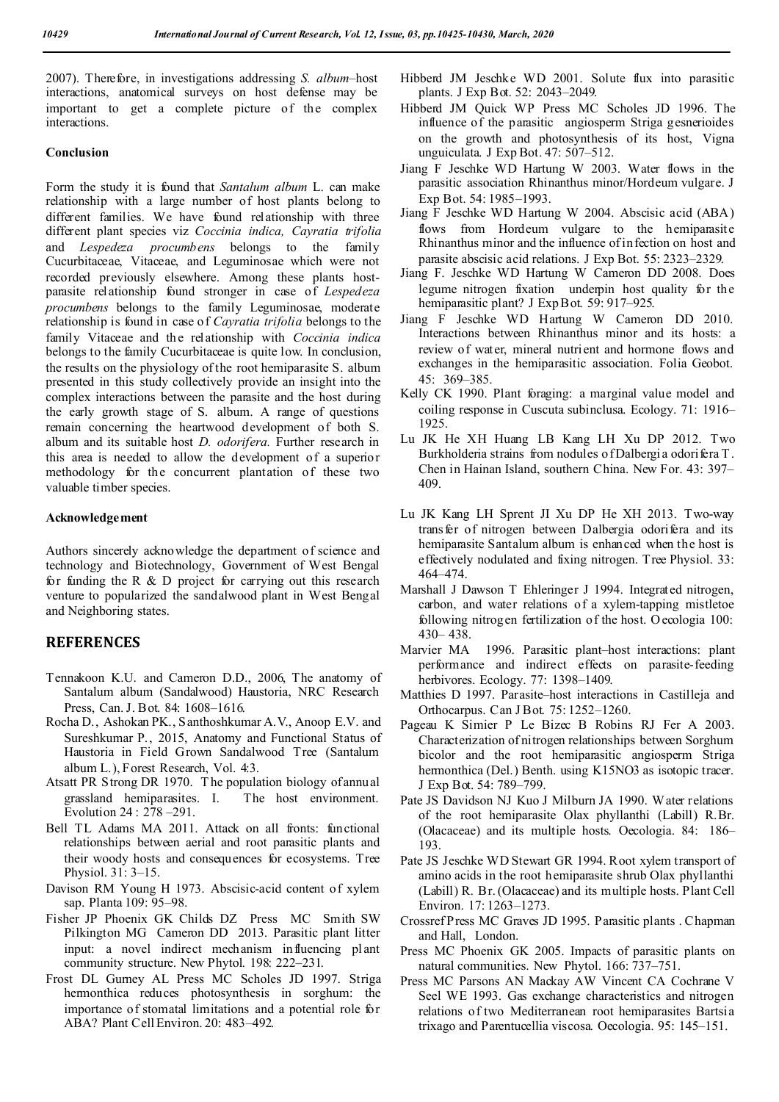2007). Therefore, in investigations addressing *S. album*–host interactions, anatomical surveys on host defense may be important to get a complete picture of the complex interactions.

#### **Conclusion**

Form the study it is found that *Santalum album* L. can make relationship with a large number of host plants belong to different families. We have found relationship with three different plant species viz *Coccinia indica, Cayratia trifolia*  and *Lespedeza procumbens* belongs to the family Cucurbitaceae, Vitaceae, and Leguminosae which were not recorded previously elsewhere. Among these plants hostparasite relationship found stronger in case of *Lespedeza procumbens* belongs to the family Leguminosae, moderate relationship is found in case of *Cayratia trifolia* belongs to the family Vitaceae and the relationship with *Coccinia indica*  belongs to the family Cucurbitaceae is quite low. In conclusion, the results on the physiology of the root hemiparasite S. album presented in this study collectively provide an insight into the complex interactions between the parasite and the host during the early growth stage of S. album. A range of questions remain concerning the heartwood development of both S. album and its suitable host *D. odorifera.* Further research in this area is needed to allow the development of a superior methodology for the concurrent plantation of these two valuable timber species.

### **Acknowledgement**

Authors sincerely acknowledge the department of science and technology and Biotechnology, Government of West Bengal for funding the R  $\&$  D project for carrying out this research venture to popularized the sandalwood plant in West Bengal and Neighboring states.

### **REFERENCES**

- Tennakoon K.U. and Cameron D.D., 2006, The anatomy of Santalum album (Sandalwood) Haustoria, NRC Research Press, Can. J. Bot. 84: 1608–1616.
- Rocha D., Ashokan PK., Santhoshkumar A.V., Anoop E.V. and Sureshkumar P., 2015, Anatomy and Functional Status of Haustoria in Field Grown Sandalwood Tree (Santalum album L.), Forest Research, Vol. 4:3.
- Atsatt PR Strong DR 1970. T he population biology of annual grassland hemiparasites. I. The host environment. Evolution 24 : 278 –291.
- Bell TL Adams MA 2011. Attack on all fronts: functional relationships between aerial and root parasitic plants and their woody hosts and consequences for ecosystems. Tree Physiol. 31: 3–15.
- Davison RM Young H 1973. Abscisic-acid content of xylem sap. Planta 109: 95–98.
- Fisher JP Phoenix GK Childs DZ Press MC Smith SW Pilkington MG Cameron DD 2013. Parasitic plant litter input: a novel indirect mechanism influencing plant community structure. New Phytol. 198: 222–231.
- Frost DL Gurney AL Press MC Scholes JD 1997. Striga hermonthica reduces photosynthesis in sorghum: the importance of stomatal limitations and a potential role for ABA? Plant Cell Environ. 20: 483–492.
- Hibberd JM Jeschke WD 2001. Solute flux into parasitic plants. J Exp Bot. 52: 2043–2049.
- Hibberd JM Quick WP Press MC Scholes JD 1996. The influence of the parasitic angiosperm Striga gesnerioides on the growth and photosynthesis of its host, Vigna unguiculata. J Exp Bot. 47: 507–512.
- Jiang F Jeschke WD Hartung W 2003. Water flows in the parasitic association Rhinanthus minor/Hordeum vulgare. J Exp Bot. 54: 1985–1993.
- Jiang F Jeschke WD Hartung W 2004. Abscisic acid (ABA) flows from Hordeum vulgare to the hemiparasite Rhinanthus minor and the influence of infection on host and parasite abscisic acid relations. J Exp Bot. 55: 2323–2329.
- Jiang F. Jeschke WD Hartung W Cameron DD 2008. Does legume nitrogen fixation underpin host quality for the hemiparasitic plant? J Exp B ot. 59: 917-925.
- Jiang F Jeschke WD Hartung W Cameron DD 2010. Interactions between Rhinanthus minor and its hosts: a review of water, mineral nutrient and hormone flows and exchanges in the hemiparasitic association. Folia Geobot. 45: 369–385.
- Kelly CK 1990. Plant foraging: a marginal value model and coiling response in Cuscuta subinclusa. Ecology. 71: 1916– 1925.
- Lu JK He XH Huang LB Kang LH Xu DP 2012. Two Burkholderia strains from nodules of Dalbergia odorifera T. Chen in Hainan Island, southern China. New For. 43: 397– 409.
- Lu JK Kang LH Sprent JI Xu DP He XH 2013. Two-way transfer of nitrogen between Dalbergia odorifera and its hemiparasite Santalum album is enhanced when the host is effectively nodulated and fixing nitrogen. Tree Physiol. 33: 464–474.
- Marshall J Dawson T Ehleringer J 1994. Integrated nitrogen, carbon, and water relations of a xylem-tapping mistletoe following nitrogen fertilization of the host. O ecologia 100: 430– 438.
- Marvier MA 1996. Parasitic plant–host interactions: plant performance and indirect effects on parasite-feeding herbivores. Ecology. 77: 1398–1409.
- Matthies D 1997. Parasite–host interactions in Castilleja and Orthocarpus. Can J Bot. 75: 1252–1260.
- Pageau K Simier P Le Bizec B Robins RJ Fer A 2003. Characterization of nitrogen relationships between Sorghum bicolor and the root hemiparasitic angiosperm Striga hermonthica (Del.) Benth. using K15NO3 as isotopic tracer. J Exp Bot. 54: 789–799.
- Pate JS Davidson NJ Kuo J Milburn JA 1990. Water relations of the root hemiparasite Olax phyllanthi (Labill) R.Br. (Olacaceae) and its multiple hosts. Oecologia. 84: 186– 193.
- Pate JS Jeschke WD Stewart GR 1994. Root xylem transport of amino acids in the root hemiparasite shrub Olax phyllanthi (Labill) R. Br. (Olacaceae) and its multiple hosts. Plant Cell Environ. 17: 1263–1273.
- Crossref Press MC Graves JD 1995. Parasitic plants . Chapman and Hall, London.
- Press MC Phoenix GK 2005. Impacts of parasitic plants on natural communities. New Phytol. 166: 737–751.
- Press MC Parsons AN Mackay AW Vincent CA Cochrane V Seel WE 1993. Gas exchange characteristics and nitrogen relations of two Mediterranean root hemiparasites Bartsia trixago and Parentucellia viscosa. Oecologia. 95: 145–151.